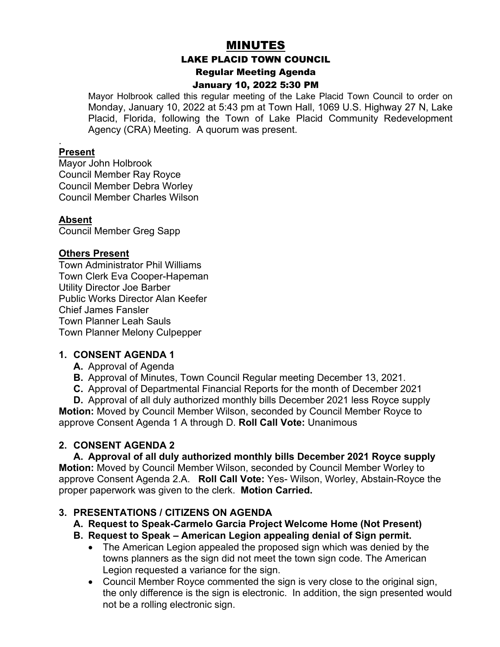# MINUTES

#### LAKE PLACID TOWN COUNCIL

Regular Meeting Agenda

#### January 10, 2022 5:30 PM

Mayor Holbrook called this regular meeting of the Lake Placid Town Council to order on Monday, January 10, 2022 at 5:43 pm at Town Hall, 1069 U.S. Highway 27 N, Lake Placid, Florida, following the Town of Lake Placid Community Redevelopment Agency (CRA) Meeting. A quorum was present.

#### . **Present**

Mayor John Holbrook Council Member Ray Royce Council Member Debra Worley Council Member Charles Wilson

#### **Absent**

Council Member Greg Sapp

#### **Others Present**

Town Administrator Phil Williams Town Clerk Eva Cooper-Hapeman Utility Director Joe Barber Public Works Director Alan Keefer Chief James Fansler Town Planner Leah Sauls Town Planner Melony Culpepper

#### **1. CONSENT AGENDA 1**

- **A.** Approval of Agenda
- **B.** Approval of Minutes, Town Council Regular meeting December 13, 2021.
- **C.** Approval of Departmental Financial Reports for the month of December 2021
- **D.** Approval of all duly authorized monthly bills December 2021 less Royce supply

**Motion:** Moved by Council Member Wilson, seconded by Council Member Royce to approve Consent Agenda 1 A through D. **Roll Call Vote:** Unanimous

#### **2. CONSENT AGENDA 2**

#### **A. Approval of all duly authorized monthly bills December 2021 Royce supply**

**Motion:** Moved by Council Member Wilson, seconded by Council Member Worley to approve Consent Agenda 2.A. **Roll Call Vote:** Yes- Wilson, Worley, Abstain-Royce the proper paperwork was given to the clerk. **Motion Carried.** 

#### **3. PRESENTATIONS / CITIZENS ON AGENDA**

- **A. Request to Speak-Carmelo Garcia Project Welcome Home (Not Present)**
- **B. Request to Speak – American Legion appealing denial of Sign permit.**
	- The American Legion appealed the proposed sign which was denied by the towns planners as the sign did not meet the town sign code. The American Legion requested a variance for the sign.
	- Council Member Royce commented the sign is very close to the original sign, the only difference is the sign is electronic. In addition, the sign presented would not be a rolling electronic sign.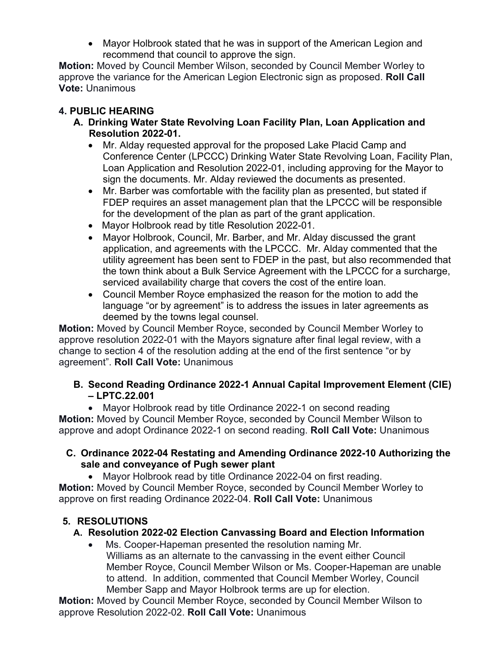• Mayor Holbrook stated that he was in support of the American Legion and recommend that council to approve the sign.

**Motion:** Moved by Council Member Wilson, seconded by Council Member Worley to approve the variance for the American Legion Electronic sign as proposed. **Roll Call Vote:** Unanimous

# **4. PUBLIC HEARING**

- **A. Drinking Water State Revolving Loan Facility Plan, Loan Application and Resolution 2022-01.**
	- Mr. Alday requested approval for the proposed Lake Placid Camp and Conference Center (LPCCC) Drinking Water State Revolving Loan, Facility Plan, Loan Application and Resolution 2022-01, including approving for the Mayor to sign the documents. Mr. Alday reviewed the documents as presented.
	- Mr. Barber was comfortable with the facility plan as presented, but stated if FDEP requires an asset management plan that the LPCCC will be responsible for the development of the plan as part of the grant application.
	- Mayor Holbrook read by title Resolution 2022-01.
	- Mayor Holbrook, Council, Mr. Barber, and Mr. Alday discussed the grant application, and agreements with the LPCCC. Mr. Alday commented that the utility agreement has been sent to FDEP in the past, but also recommended that the town think about a Bulk Service Agreement with the LPCCC for a surcharge, serviced availability charge that covers the cost of the entire loan.
	- Council Member Royce emphasized the reason for the motion to add the language "or by agreement" is to address the issues in later agreements as deemed by the towns legal counsel.

**Motion:** Moved by Council Member Royce, seconded by Council Member Worley to approve resolution 2022-01 with the Mayors signature after final legal review, with a change to section 4 of the resolution adding at the end of the first sentence "or by agreement". **Roll Call Vote:** Unanimous

## **B. Second Reading Ordinance 2022-1 Annual Capital Improvement Element (CIE) – LPTC.22.001**

• Mayor Holbrook read by title Ordinance 2022-1 on second reading **Motion:** Moved by Council Member Royce, seconded by Council Member Wilson to approve and adopt Ordinance 2022-1 on second reading. **Roll Call Vote:** Unanimous

### **C. Ordinance 2022-04 Restating and Amending Ordinance 2022-10 Authorizing the sale and conveyance of Pugh sewer plant**

• Mayor Holbrook read by title Ordinance 2022-04 on first reading. **Motion:** Moved by Council Member Royce, seconded by Council Member Worley to approve on first reading Ordinance 2022-04. **Roll Call Vote:** Unanimous

# **5. RESOLUTIONS**

## **A. Resolution 2022-02 Election Canvassing Board and Election Information**

Ms. Cooper-Hapeman presented the resolution naming Mr. Williams as an alternate to the canvassing in the event either Council Member Royce, Council Member Wilson or Ms. Cooper-Hapeman are unable to attend. In addition, commented that Council Member Worley, Council Member Sapp and Mayor Holbrook terms are up for election.

**Motion:** Moved by Council Member Royce, seconded by Council Member Wilson to approve Resolution 2022-02. **Roll Call Vote:** Unanimous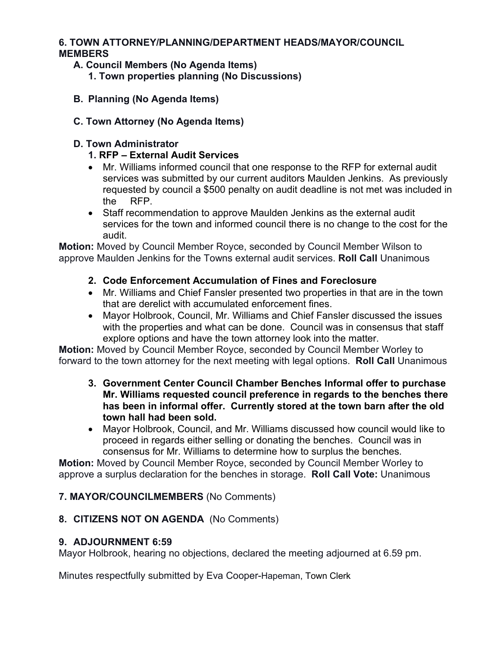#### **6. TOWN ATTORNEY/PLANNING/DEPARTMENT HEADS/MAYOR/COUNCIL MEMBERS**

- **A. Council Members (No Agenda Items) 1. Town properties planning (No Discussions)**
- **B. Planning (No Agenda Items)**
- **C. Town Attorney (No Agenda Items)**

### **D. Town Administrator**

- **1. RFP – External Audit Services**
- Mr. Williams informed council that one response to the RFP for external audit services was submitted by our current auditors Maulden Jenkins. As previously requested by council a \$500 penalty on audit deadline is not met was included in the RFP.
- Staff recommendation to approve Maulden Jenkins as the external audit services for the town and informed council there is no change to the cost for the audit.

**Motion:** Moved by Council Member Royce, seconded by Council Member Wilson to approve Maulden Jenkins for the Towns external audit services. **Roll Call** Unanimous

- **2. Code Enforcement Accumulation of Fines and Foreclosure**
- Mr. Williams and Chief Fansler presented two properties in that are in the town that are derelict with accumulated enforcement fines.
- Mayor Holbrook, Council, Mr. Williams and Chief Fansler discussed the issues with the properties and what can be done. Council was in consensus that staff explore options and have the town attorney look into the matter.

**Motion:** Moved by Council Member Royce, seconded by Council Member Worley to forward to the town attorney for the next meeting with legal options. **Roll Call** Unanimous

- **3. Government Center Council Chamber Benches Informal offer to purchase Mr. Williams requested council preference in regards to the benches there has been in informal offer. Currently stored at the town barn after the old town hall had been sold.**
- Mayor Holbrook, Council, and Mr. Williams discussed how council would like to proceed in regards either selling or donating the benches. Council was in consensus for Mr. Williams to determine how to surplus the benches.

**Motion:** Moved by Council Member Royce, seconded by Council Member Worley to approve a surplus declaration for the benches in storage. **Roll Call Vote:** Unanimous

## **7. MAYOR/COUNCILMEMBERS** (No Comments)

### **8. CITIZENS NOT ON AGENDA** (No Comments)

### **9. ADJOURNMENT 6:59**

Mayor Holbrook, hearing no objections, declared the meeting adjourned at 6.59 pm.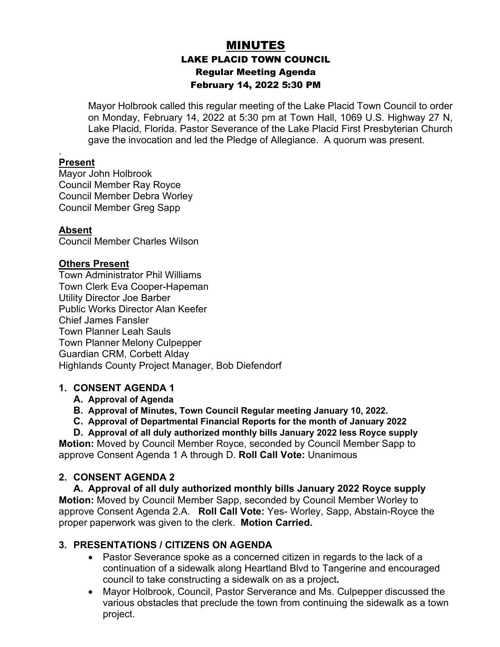# MINUTES LAKE PLACID TOWN COUNCIL Regular Meeting Agenda February 14, 2022 5:30 PM

Mayor Holbrook called this regular meeting of the Lake Placid Town Council to order on Monday, February 14, 2022 at 5:30 pm at Town Hall, 1069 U.S. Highway 27 N, Lake Placid, Florida. Pastor Severance of the Lake Placid First Presbyterian Church gave the invocation and led the Pledge of Allegiance. A quorum was present.

#### **Present**

.

Mayor John Holbrook Council Member Ray Royce Council Member Debra Worley Council Member Greg Sapp

#### **Absent**

Council Member Charles Wilson

#### **Others Present**

Town Administrator Phil Williams Town Clerk Eva Cooper-Hapeman Utility Director Joe Barber Public Works Director Alan Keefer Chief James Fansler Town Planner Leah Sauls Town Planner Melony Culpepper Guardian CRM, Corbett Alday Highlands County Project Manager, Bob Diefendorf

#### **1. CONSENT AGENDA 1**

#### **A. Approval of Agenda**

- **B. Approval of Minutes, Town Council Regular meeting January 10, 2022.**
- **C. Approval of Departmental Financial Reports for the month of January 2022**

**D. Approval of all duly authorized monthly bills January 2022 less Royce supply Motion:** Moved by Council Member Royce, seconded by Council Member Sapp to approve Consent Agenda 1 A through D. **Roll Call Vote:** Unanimous

#### **2. CONSENT AGENDA 2**

**A. Approval of all duly authorized monthly bills January 2022 Royce supply Motion:** Moved by Council Member Sapp, seconded by Council Member Worley to approve Consent Agenda 2.A. **Roll Call Vote:** Yes- Worley, Sapp, Abstain-Royce the proper paperwork was given to the clerk. **Motion Carried.** 

#### **3. PRESENTATIONS / CITIZENS ON AGENDA**

- Pastor Severance spoke as a concerned citizen in regards to the lack of a continuation of a sidewalk along Heartland Blvd to Tangerine and encouraged council to take constructing a sidewalk on as a project**.**
- Mayor Holbrook, Council, Pastor Serverance and Ms. Culpepper discussed the various obstacles that preclude the town from continuing the sidewalk as a town project.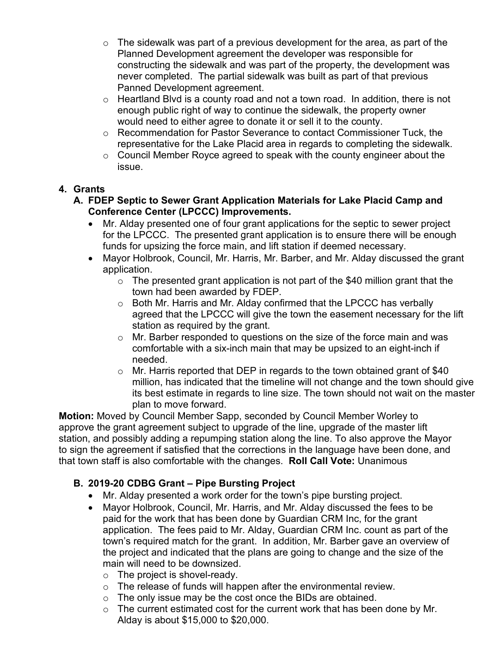- $\circ$  The sidewalk was part of a previous development for the area, as part of the Planned Development agreement the developer was responsible for constructing the sidewalk and was part of the property, the development was never completed. The partial sidewalk was built as part of that previous Panned Development agreement.
- o Heartland Blvd is a county road and not a town road. In addition, there is not enough public right of way to continue the sidewalk, the property owner would need to either agree to donate it or sell it to the county.
- o Recommendation for Pastor Severance to contact Commissioner Tuck, the representative for the Lake Placid area in regards to completing the sidewalk.
- o Council Member Royce agreed to speak with the county engineer about the issue.

## **4. Grants**

- **A. FDEP Septic to Sewer Grant Application Materials for Lake Placid Camp and Conference Center (LPCCC) Improvements.**
	- Mr. Alday presented one of four grant applications for the septic to sewer project for the LPCCC. The presented grant application is to ensure there will be enough funds for upsizing the force main, and lift station if deemed necessary.
	- Mayor Holbrook, Council, Mr. Harris, Mr. Barber, and Mr. Alday discussed the grant application.
		- $\circ$  The presented grant application is not part of the \$40 million grant that the town had been awarded by FDEP.
		- o Both Mr. Harris and Mr. Alday confirmed that the LPCCC has verbally agreed that the LPCCC will give the town the easement necessary for the lift station as required by the grant.
		- o Mr. Barber responded to questions on the size of the force main and was comfortable with a six-inch main that may be upsized to an eight-inch if needed.
		- $\circ$  Mr. Harris reported that DEP in regards to the town obtained grant of \$40 million, has indicated that the timeline will not change and the town should give its best estimate in regards to line size. The town should not wait on the master plan to move forward.

**Motion:** Moved by Council Member Sapp, seconded by Council Member Worley to approve the grant agreement subject to upgrade of the line, upgrade of the master lift station, and possibly adding a repumping station along the line. To also approve the Mayor to sign the agreement if satisfied that the corrections in the language have been done, and that town staff is also comfortable with the changes. **Roll Call Vote:** Unanimous

## **B. 2019-20 CDBG Grant – Pipe Bursting Project**

- Mr. Alday presented a work order for the town's pipe bursting project.
- Mayor Holbrook, Council, Mr. Harris, and Mr. Alday discussed the fees to be paid for the work that has been done by Guardian CRM Inc, for the grant application. The fees paid to Mr. Alday, Guardian CRM Inc. count as part of the town's required match for the grant. In addition, Mr. Barber gave an overview of the project and indicated that the plans are going to change and the size of the main will need to be downsized.
	- $\circ$  The project is shovel-ready.
	- $\circ$  The release of funds will happen after the environmental review.
	- o The only issue may be the cost once the BIDs are obtained.
	- $\circ$  The current estimated cost for the current work that has been done by Mr. Alday is about \$15,000 to \$20,000.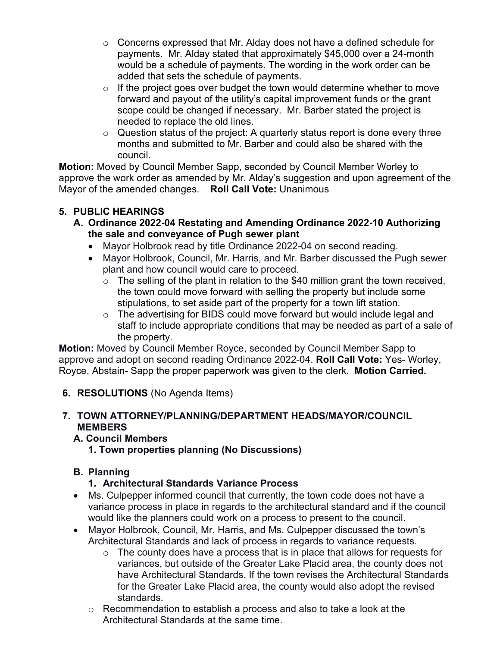- o Concerns expressed that Mr. Alday does not have a defined schedule for payments. Mr. Alday stated that approximately \$45,000 over a 24-month would be a schedule of payments. The wording in the work order can be added that sets the schedule of payments.
- $\circ$  If the project goes over budget the town would determine whether to move forward and payout of the utility's capital improvement funds or the grant scope could be changed if necessary. Mr. Barber stated the project is needed to replace the old lines.
- $\circ$  Question status of the project: A quarterly status report is done every three months and submitted to Mr. Barber and could also be shared with the council.

**Motion:** Moved by Council Member Sapp, seconded by Council Member Worley to approve the work order as amended by Mr. Alday's suggestion and upon agreement of the Mayor of the amended changes. **Roll Call Vote:** Unanimous

## **5. PUBLIC HEARINGS**

- **A. Ordinance 2022-04 Restating and Amending Ordinance 2022-10 Authorizing the sale and conveyance of Pugh sewer plant**
	- Mayor Holbrook read by title Ordinance 2022-04 on second reading.
	- Mayor Holbrook, Council, Mr. Harris, and Mr. Barber discussed the Pugh sewer plant and how council would care to proceed.
		- $\circ$  The selling of the plant in relation to the \$40 million grant the town received, the town could move forward with selling the property but include some stipulations, to set aside part of the property for a town lift station.
		- o The advertising for BIDS could move forward but would include legal and staff to include appropriate conditions that may be needed as part of a sale of the property.

**Motion:** Moved by Council Member Royce, seconded by Council Member Sapp to approve and adopt on second reading Ordinance 2022-04. **Roll Call Vote:** Yes- Worley, Royce, Abstain- Sapp the proper paperwork was given to the clerk. **Motion Carried.** 

**6. RESOLUTIONS** (No Agenda Items)

### **7. TOWN ATTORNEY/PLANNING/DEPARTMENT HEADS/MAYOR/COUNCIL MEMBERS**

- **A. Council Members**
	- **1. Town properties planning (No Discussions)**

## **B. Planning**

## **1. Architectural Standards Variance Process**

- Ms. Culpepper informed council that currently, the town code does not have a variance process in place in regards to the architectural standard and if the council would like the planners could work on a process to present to the council.
- Mayor Holbrook, Council, Mr. Harris, and Ms. Culpepper discussed the town's Architectural Standards and lack of process in regards to variance requests.
	- $\circ$  The county does have a process that is in place that allows for requests for variances, but outside of the Greater Lake Placid area, the county does not have Architectural Standards. If the town revises the Architectural Standards for the Greater Lake Placid area, the county would also adopt the revised standards.
	- o Recommendation to establish a process and also to take a look at the Architectural Standards at the same time.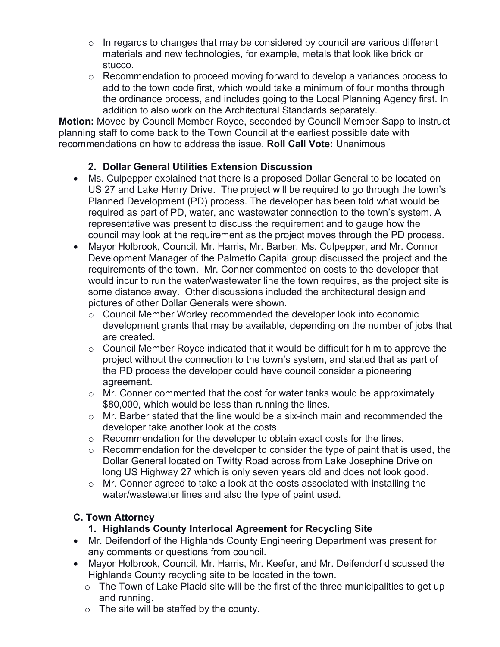- $\circ$  In regards to changes that may be considered by council are various different materials and new technologies, for example, metals that look like brick or stucco.
- o Recommendation to proceed moving forward to develop a variances process to add to the town code first, which would take a minimum of four months through the ordinance process, and includes going to the Local Planning Agency first. In addition to also work on the Architectural Standards separately.

**Motion:** Moved by Council Member Royce, seconded by Council Member Sapp to instruct planning staff to come back to the Town Council at the earliest possible date with recommendations on how to address the issue. **Roll Call Vote:** Unanimous

### **2. Dollar General Utilities Extension Discussion**

- Ms. Culpepper explained that there is a proposed Dollar General to be located on US 27 and Lake Henry Drive. The project will be required to go through the town's Planned Development (PD) process. The developer has been told what would be required as part of PD, water, and wastewater connection to the town's system. A representative was present to discuss the requirement and to gauge how the council may look at the requirement as the project moves through the PD process.
- Mayor Holbrook, Council, Mr. Harris, Mr. Barber, Ms. Culpepper, and Mr. Connor Development Manager of the Palmetto Capital group discussed the project and the requirements of the town. Mr. Conner commented on costs to the developer that would incur to run the water/wastewater line the town requires, as the project site is some distance away. Other discussions included the architectural design and pictures of other Dollar Generals were shown.
	- o Council Member Worley recommended the developer look into economic development grants that may be available, depending on the number of jobs that are created.
	- $\circ$  Council Member Royce indicated that it would be difficult for him to approve the project without the connection to the town's system, and stated that as part of the PD process the developer could have council consider a pioneering agreement.
	- $\circ$  Mr. Conner commented that the cost for water tanks would be approximately \$80,000, which would be less than running the lines.
	- $\circ$  Mr. Barber stated that the line would be a six-inch main and recommended the developer take another look at the costs.
	- $\circ$  Recommendation for the developer to obtain exact costs for the lines.
	- $\circ$  Recommendation for the developer to consider the type of paint that is used, the Dollar General located on Twitty Road across from Lake Josephine Drive on long US Highway 27 which is only seven years old and does not look good.
	- $\circ$  Mr. Conner agreed to take a look at the costs associated with installing the water/wastewater lines and also the type of paint used.

### **C. Town Attorney**

### **1. Highlands County Interlocal Agreement for Recycling Site**

- Mr. Deifendorf of the Highlands County Engineering Department was present for any comments or questions from council.
- Mayor Holbrook, Council, Mr. Harris, Mr. Keefer, and Mr. Deifendorf discussed the Highlands County recycling site to be located in the town.
	- $\circ$  The Town of Lake Placid site will be the first of the three municipalities to get up and running.
	- o The site will be staffed by the county.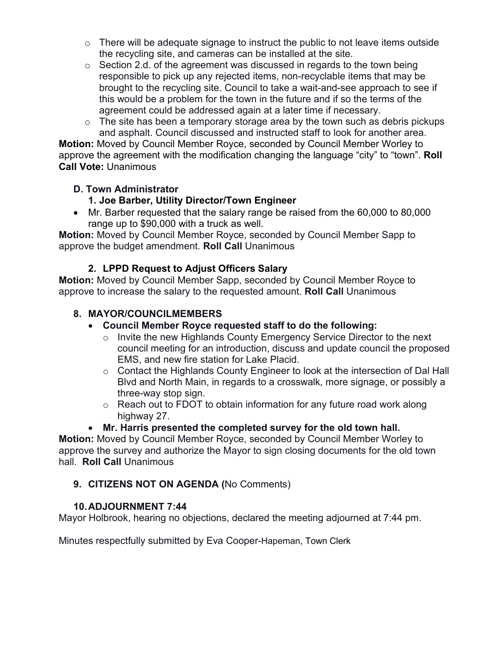- $\circ$  There will be adequate signage to instruct the public to not leave items outside the recycling site, and cameras can be installed at the site.
- $\circ$  Section 2.d. of the agreement was discussed in regards to the town being responsible to pick up any rejected items, non-recyclable items that may be brought to the recycling site. Council to take a wait-and-see approach to see if this would be a problem for the town in the future and if so the terms of the agreement could be addressed again at a later time if necessary.
- $\circ$  The site has been a temporary storage area by the town such as debris pickups and asphalt. Council discussed and instructed staff to look for another area.

**Motion:** Moved by Council Member Royce, seconded by Council Member Worley to approve the agreement with the modification changing the language "city" to "town". **Roll Call Vote:** Unanimous

### **D. Town Administrator**

## **1. Joe Barber, Utility Director/Town Engineer**

• Mr. Barber requested that the salary range be raised from the 60,000 to 80,000 range up to \$90,000 with a truck as well.

**Motion:** Moved by Council Member Royce, seconded by Council Member Sapp to approve the budget amendment. **Roll Call** Unanimous

### **2. LPPD Request to Adjust Officers Salary**

**Motion:** Moved by Council Member Sapp, seconded by Council Member Royce to approve to increase the salary to the requested amount. **Roll Call** Unanimous

### **8. MAYOR/COUNCILMEMBERS**

### • **Council Member Royce requested staff to do the following:**

- o Invite the new Highlands County Emergency Service Director to the next council meeting for an introduction, discuss and update council the proposed EMS, and new fire station for Lake Placid.
- o Contact the Highlands County Engineer to look at the intersection of Dal Hall Blvd and North Main, in regards to a crosswalk, more signage, or possibly a three-way stop sign.
- o Reach out to FDOT to obtain information for any future road work along highway 27.

## • **Mr. Harris presented the completed survey for the old town hall.**

**Motion:** Moved by Council Member Royce, seconded by Council Member Worley to approve the survey and authorize the Mayor to sign closing documents for the old town hall. **Roll Call** Unanimous

## **9. CITIZENS NOT ON AGENDA (**No Comments)

### **10.ADJOURNMENT 7:44**

Mayor Holbrook, hearing no objections, declared the meeting adjourned at 7:44 pm.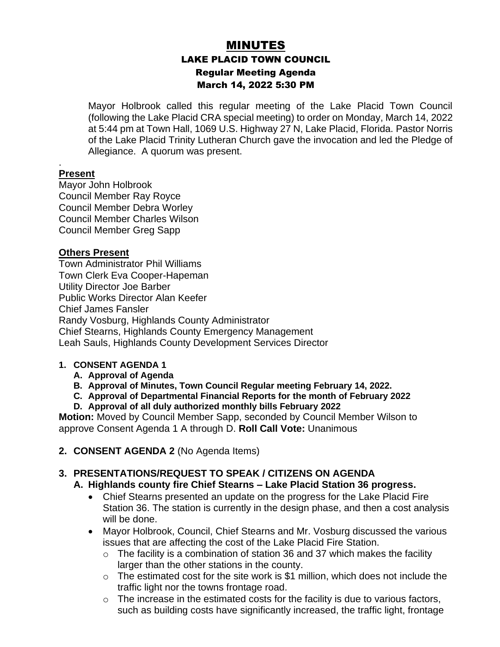# MINUTES LAKE PLACID TOWN COUNCIL Regular Meeting Agenda March 14, 2022 5:30 PM

Mayor Holbrook called this regular meeting of the Lake Placid Town Council (following the Lake Placid CRA special meeting) to order on Monday, March 14, 2022 at 5:44 pm at Town Hall, 1069 U.S. Highway 27 N, Lake Placid, Florida. Pastor Norris of the Lake Placid Trinity Lutheran Church gave the invocation and led the Pledge of Allegiance. A quorum was present.

#### . **Present**

Mayor John Holbrook Council Member Ray Royce Council Member Debra Worley Council Member Charles Wilson Council Member Greg Sapp

#### **Others Present**

Town Administrator Phil Williams Town Clerk Eva Cooper-Hapeman Utility Director Joe Barber Public Works Director Alan Keefer Chief James Fansler Randy Vosburg, Highlands County Administrator Chief Stearns, Highlands County Emergency Management Leah Sauls, Highlands County Development Services Director

#### **1. CONSENT AGENDA 1**

- **A. Approval of Agenda**
- **B. Approval of Minutes, Town Council Regular meeting February 14, 2022.**
- **C. Approval of Departmental Financial Reports for the month of February 2022**
- **D. Approval of all duly authorized monthly bills February 2022**

**Motion:** Moved by Council Member Sapp, seconded by Council Member Wilson to approve Consent Agenda 1 A through D. **Roll Call Vote:** Unanimous

**2. CONSENT AGENDA 2** (No Agenda Items)

### **3. PRESENTATIONS/REQUEST TO SPEAK / CITIZENS ON AGENDA**

#### **A. Highlands county fire Chief Stearns – Lake Placid Station 36 progress.**

- Chief Stearns presented an update on the progress for the Lake Placid Fire Station 36. The station is currently in the design phase, and then a cost analysis will be done.
- Mayor Holbrook, Council, Chief Stearns and Mr. Vosburg discussed the various issues that are affecting the cost of the Lake Placid Fire Station.
	- $\circ$  The facility is a combination of station 36 and 37 which makes the facility larger than the other stations in the county.
	- $\circ$  The estimated cost for the site work is \$1 million, which does not include the traffic light nor the towns frontage road.
	- $\circ$  The increase in the estimated costs for the facility is due to various factors, such as building costs have significantly increased, the traffic light, frontage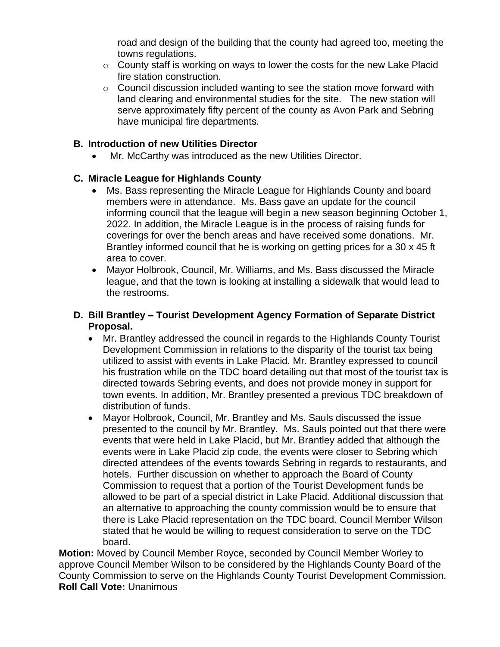road and design of the building that the county had agreed too, meeting the towns regulations.

- o County staff is working on ways to lower the costs for the new Lake Placid fire station construction.
- o Council discussion included wanting to see the station move forward with land clearing and environmental studies for the site. The new station will serve approximately fifty percent of the county as Avon Park and Sebring have municipal fire departments.

### **B. Introduction of new Utilities Director**

Mr. McCarthy was introduced as the new Utilities Director.

### **C. Miracle League for Highlands County**

- Ms. Bass representing the Miracle League for Highlands County and board members were in attendance. Ms. Bass gave an update for the council informing council that the league will begin a new season beginning October 1, 2022. In addition, the Miracle League is in the process of raising funds for coverings for over the bench areas and have received some donations. Mr. Brantley informed council that he is working on getting prices for a 30 x 45 ft area to cover.
- Mayor Holbrook, Council, Mr. Williams, and Ms. Bass discussed the Miracle league, and that the town is looking at installing a sidewalk that would lead to the restrooms.

#### **D. Bill Brantley – Tourist Development Agency Formation of Separate District Proposal.**

- Mr. Brantley addressed the council in regards to the Highlands County Tourist Development Commission in relations to the disparity of the tourist tax being utilized to assist with events in Lake Placid. Mr. Brantley expressed to council his frustration while on the TDC board detailing out that most of the tourist tax is directed towards Sebring events, and does not provide money in support for town events. In addition, Mr. Brantley presented a previous TDC breakdown of distribution of funds.
- Mayor Holbrook, Council, Mr. Brantley and Ms. Sauls discussed the issue presented to the council by Mr. Brantley. Ms. Sauls pointed out that there were events that were held in Lake Placid, but Mr. Brantley added that although the events were in Lake Placid zip code, the events were closer to Sebring which directed attendees of the events towards Sebring in regards to restaurants, and hotels. Further discussion on whether to approach the Board of County Commission to request that a portion of the Tourist Development funds be allowed to be part of a special district in Lake Placid. Additional discussion that an alternative to approaching the county commission would be to ensure that there is Lake Placid representation on the TDC board. Council Member Wilson stated that he would be willing to request consideration to serve on the TDC board.

**Motion:** Moved by Council Member Royce, seconded by Council Member Worley to approve Council Member Wilson to be considered by the Highlands County Board of the County Commission to serve on the Highlands County Tourist Development Commission. **Roll Call Vote:** Unanimous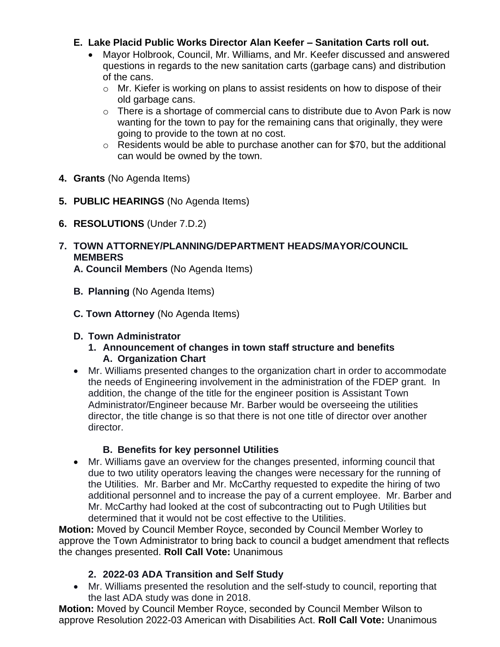### **E. Lake Placid Public Works Director Alan Keefer – Sanitation Carts roll out.**

- Mayor Holbrook, Council, Mr. Williams, and Mr. Keefer discussed and answered questions in regards to the new sanitation carts (garbage cans) and distribution of the cans.
	- o Mr. Kiefer is working on plans to assist residents on how to dispose of their old garbage cans.
	- $\circ$  There is a shortage of commercial cans to distribute due to Avon Park is now wanting for the town to pay for the remaining cans that originally, they were going to provide to the town at no cost.
	- o Residents would be able to purchase another can for \$70, but the additional can would be owned by the town.
- **4. Grants** (No Agenda Items)
- **5. PUBLIC HEARINGS** (No Agenda Items)
- **6. RESOLUTIONS** (Under 7.D.2)

# **7. TOWN ATTORNEY/PLANNING/DEPARTMENT HEADS/MAYOR/COUNCIL MEMBERS**

**A. Council Members** (No Agenda Items)

- **B. Planning** (No Agenda Items)
- **C. Town Attorney** (No Agenda Items)

### **D. Town Administrator**

- **1. Announcement of changes in town staff structure and benefits A. Organization Chart**
- Mr. Williams presented changes to the organization chart in order to accommodate the needs of Engineering involvement in the administration of the FDEP grant. In addition, the change of the title for the engineer position is Assistant Town Administrator/Engineer because Mr. Barber would be overseeing the utilities director, the title change is so that there is not one title of director over another director.

## **B. Benefits for key personnel Utilities**

• Mr. Williams gave an overview for the changes presented, informing council that due to two utility operators leaving the changes were necessary for the running of the Utilities. Mr. Barber and Mr. McCarthy requested to expedite the hiring of two additional personnel and to increase the pay of a current employee. Mr. Barber and Mr. McCarthy had looked at the cost of subcontracting out to Pugh Utilities but determined that it would not be cost effective to the Utilities.

**Motion:** Moved by Council Member Royce, seconded by Council Member Worley to approve the Town Administrator to bring back to council a budget amendment that reflects the changes presented. **Roll Call Vote:** Unanimous

## **2. 2022-03 ADA Transition and Self Study**

• Mr. Williams presented the resolution and the self-study to council, reporting that the last ADA study was done in 2018.

**Motion:** Moved by Council Member Royce, seconded by Council Member Wilson to approve Resolution 2022-03 American with Disabilities Act. **Roll Call Vote:** Unanimous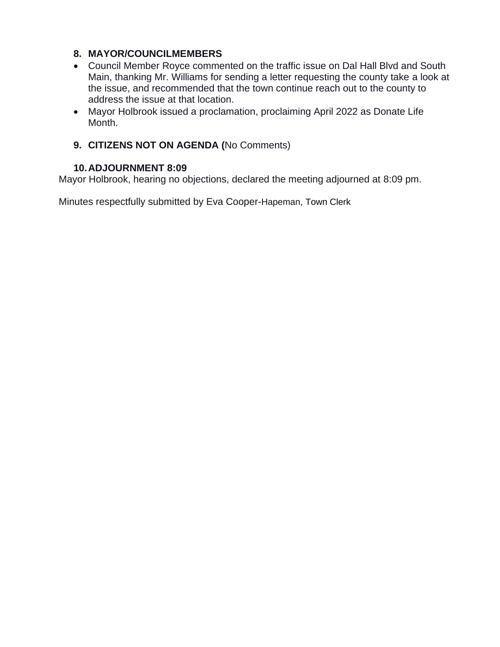### **8. MAYOR/COUNCILMEMBERS**

- Council Member Royce commented on the traffic issue on Dal Hall Blvd and South Main, thanking Mr. Williams for sending a letter requesting the county take a look at the issue, and recommended that the town continue reach out to the county to address the issue at that location.
- Mayor Holbrook issued a proclamation, proclaiming April 2022 as Donate Life Month.

### **9. CITIZENS NOT ON AGENDA (**No Comments)

#### **10.ADJOURNMENT 8:09**

Mayor Holbrook, hearing no objections, declared the meeting adjourned at 8:09 pm.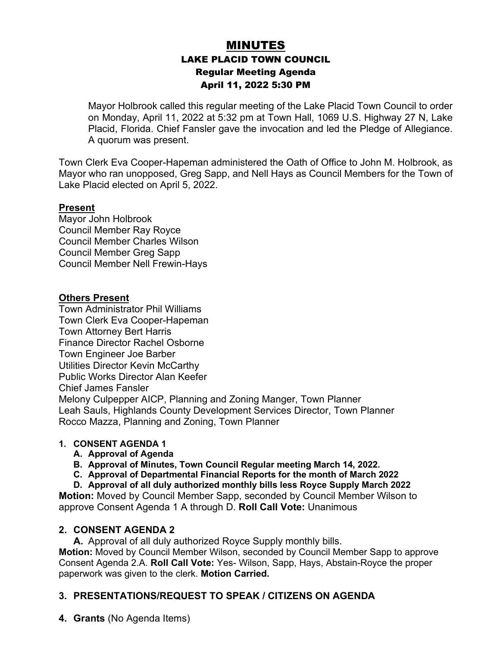## MINUTES LAKE PLACID TOWN COUNCIL Regular Meeting Agenda April 11, 2022 5:30 PM

Mayor Holbrook called this regular meeting of the Lake Placid Town Council to order on Monday, April 11, 2022 at 5:32 pm at Town Hall, 1069 U.S. Highway 27 N, Lake Placid, Florida. Chief Fansler gave the invocation and led the Pledge of Allegiance. A quorum was present.

Town Clerk Eva Cooper-Hapeman administered the Oath of Office to John M. Holbrook, as Mayor who ran unopposed, Greg Sapp, and Nell Hays as Council Members for the Town of Lake Placid elected on April 5, 2022.

#### **Present**

Mayor John Holbrook Council Member Ray Royce Council Member Charles Wilson Council Member Greg Sapp Council Member Nell Frewin-Hays

#### **Others Present**

Town Administrator Phil Williams Town Clerk Eva Cooper-Hapeman Town Attorney Bert Harris Finance Director Rachel Osborne Town Engineer Joe Barber Utilities Director Kevin McCarthy Public Works Director Alan Keefer Chief James Fansler Melony Culpepper AICP, Planning and Zoning Manger, Town Planner Leah Sauls, Highlands County Development Services Director, Town Planner Rocco Mazza, Planning and Zoning, Town Planner

#### **1. CONSENT AGENDA 1**

- **A. Approval of Agenda**
- **B. Approval of Minutes, Town Council Regular meeting March 14, 2022.**
- **C. Approval of Departmental Financial Reports for the month of March 2022**
- **D. Approval of all duly authorized monthly bills less Royce Supply March 2022**

**Motion:** Moved by Council Member Sapp, seconded by Council Member Wilson to approve Consent Agenda 1 A through D. **Roll Call Vote:** Unanimous

#### **2. CONSENT AGENDA 2**

**A.** Approval of all duly authorized Royce Supply monthly bills.

**Motion:** Moved by Council Member Wilson, seconded by Council Member Sapp to approve Consent Agenda 2.A. **Roll Call Vote:** Yes- Wilson, Sapp, Hays, Abstain-Royce the proper paperwork was given to the clerk. **Motion Carried.**

### **3. PRESENTATIONS/REQUEST TO SPEAK / CITIZENS ON AGENDA**

**4. Grants** (No Agenda Items)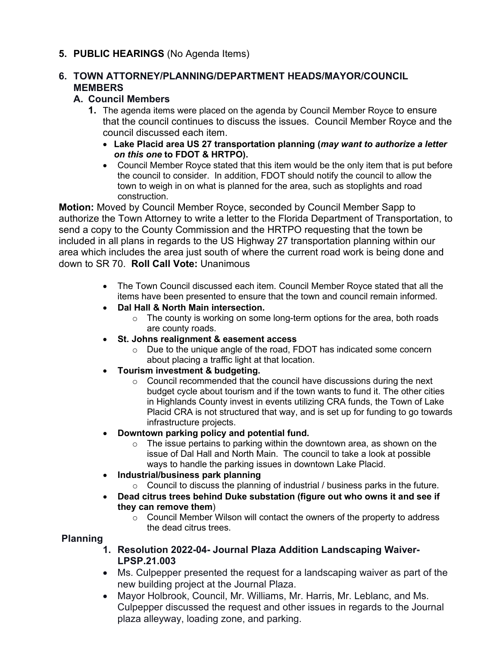### **5. PUBLIC HEARINGS** (No Agenda Items)

### **6. TOWN ATTORNEY/PLANNING/DEPARTMENT HEADS/MAYOR/COUNCIL MEMBERS**

#### **A. Council Members**

- **1.** The agenda items were placed on the agenda by Council Member Royce to ensure that the council continues to discuss the issues. Council Member Royce and the council discussed each item.
	- **Lake Placid area US 27 transportation planning (***may want to authorize a letter on this one* **to FDOT & HRTPO).**
	- Council Member Royce stated that this item would be the only item that is put before the council to consider. In addition, FDOT should notify the council to allow the town to weigh in on what is planned for the area, such as stoplights and road construction.

**Motion:** Moved by Council Member Royce, seconded by Council Member Sapp to authorize the Town Attorney to write a letter to the Florida Department of Transportation, to send a copy to the County Commission and the HRTPO requesting that the town be included in all plans in regards to the US Highway 27 transportation planning within our area which includes the area just south of where the current road work is being done and down to SR 70. **Roll Call Vote:** Unanimous

- The Town Council discussed each item. Council Member Royce stated that all the items have been presented to ensure that the town and council remain informed.
- **Dal Hall & North Main intersection.**
	- $\circ$  The county is working on some long-term options for the area, both roads are county roads.
- **St. Johns realignment & easement access**
	- o Due to the unique angle of the road, FDOT has indicated some concern about placing a traffic light at that location.
- **Tourism investment & budgeting.**
	- o Council recommended that the council have discussions during the next budget cycle about tourism and if the town wants to fund it. The other cities in Highlands County invest in events utilizing CRA funds, the Town of Lake Placid CRA is not structured that way, and is set up for funding to go towards infrastructure projects.
- **Downtown parking policy and potential fund.**
	- $\circ$  The issue pertains to parking within the downtown area, as shown on the issue of Dal Hall and North Main. The council to take a look at possible ways to handle the parking issues in downtown Lake Placid.
- **Industrial/business park planning**
	- o Council to discuss the planning of industrial / business parks in the future.
- **Dead citrus trees behind Duke substation (figure out who owns it and see if they can remove them**)
	- $\circ$  Council Member Wilson will contact the owners of the property to address the dead citrus trees.

#### **Planning**

- **1. Resolution 2022-04- Journal Plaza Addition Landscaping Waiver-LPSP.21.003**
- Ms. Culpepper presented the request for a landscaping waiver as part of the new building project at the Journal Plaza.
- Mayor Holbrook, Council, Mr. Williams, Mr. Harris, Mr. Leblanc, and Ms. Culpepper discussed the request and other issues in regards to the Journal plaza alleyway, loading zone, and parking.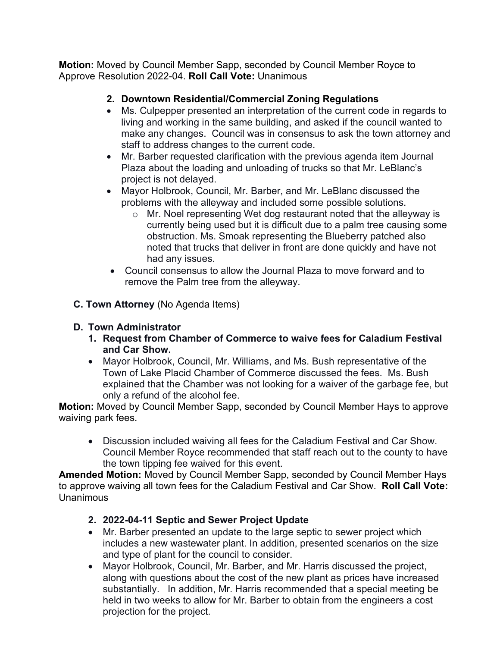**Motion:** Moved by Council Member Sapp, seconded by Council Member Royce to Approve Resolution 2022-04. **Roll Call Vote:** Unanimous

## **2. Downtown Residential/Commercial Zoning Regulations**

- Ms. Culpepper presented an interpretation of the current code in regards to living and working in the same building, and asked if the council wanted to make any changes. Council was in consensus to ask the town attorney and staff to address changes to the current code.
- Mr. Barber requested clarification with the previous agenda item Journal Plaza about the loading and unloading of trucks so that Mr. LeBlanc's project is not delayed.
- Mayor Holbrook, Council, Mr. Barber, and Mr. LeBlanc discussed the problems with the alleyway and included some possible solutions.
	- o Mr. Noel representing Wet dog restaurant noted that the alleyway is currently being used but it is difficult due to a palm tree causing some obstruction. Ms. Smoak representing the Blueberry patched also noted that trucks that deliver in front are done quickly and have not had any issues.
- Council consensus to allow the Journal Plaza to move forward and to remove the Palm tree from the alleyway.
- **C. Town Attorney** (No Agenda Items)

### **D. Town Administrator**

- **1. Request from Chamber of Commerce to waive fees for Caladium Festival and Car Show.**
- Mayor Holbrook, Council, Mr. Williams, and Ms. Bush representative of the Town of Lake Placid Chamber of Commerce discussed the fees. Ms. Bush explained that the Chamber was not looking for a waiver of the garbage fee, but only a refund of the alcohol fee.

**Motion:** Moved by Council Member Sapp, seconded by Council Member Hays to approve waiving park fees.

• Discussion included waiving all fees for the Caladium Festival and Car Show. Council Member Royce recommended that staff reach out to the county to have the town tipping fee waived for this event.

**Amended Motion:** Moved by Council Member Sapp, seconded by Council Member Hays to approve waiving all town fees for the Caladium Festival and Car Show. **Roll Call Vote:**  Unanimous

## **2. 2022-04-11 Septic and Sewer Project Update**

- Mr. Barber presented an update to the large septic to sewer project which includes a new wastewater plant. In addition, presented scenarios on the size and type of plant for the council to consider.
- Mayor Holbrook, Council, Mr. Barber, and Mr. Harris discussed the project, along with questions about the cost of the new plant as prices have increased substantially. In addition, Mr. Harris recommended that a special meeting be held in two weeks to allow for Mr. Barber to obtain from the engineers a cost projection for the project.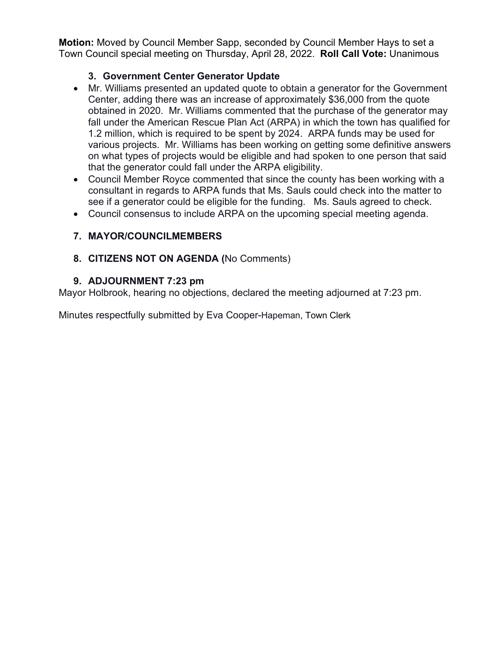**Motion:** Moved by Council Member Sapp, seconded by Council Member Hays to set a Town Council special meeting on Thursday, April 28, 2022. **Roll Call Vote:** Unanimous

### **3. Government Center Generator Update**

- Mr. Williams presented an updated quote to obtain a generator for the Government Center, adding there was an increase of approximately \$36,000 from the quote obtained in 2020. Mr. Williams commented that the purchase of the generator may fall under the American Rescue Plan Act (ARPA) in which the town has qualified for 1.2 million, which is required to be spent by 2024. ARPA funds may be used for various projects. Mr. Williams has been working on getting some definitive answers on what types of projects would be eligible and had spoken to one person that said that the generator could fall under the ARPA eligibility.
- Council Member Royce commented that since the county has been working with a consultant in regards to ARPA funds that Ms. Sauls could check into the matter to see if a generator could be eligible for the funding. Ms. Sauls agreed to check.
- Council consensus to include ARPA on the upcoming special meeting agenda.

### **7. MAYOR/COUNCILMEMBERS**

### **8. CITIZENS NOT ON AGENDA (**No Comments)

#### **9. ADJOURNMENT 7:23 pm**

Mayor Holbrook, hearing no objections, declared the meeting adjourned at 7:23 pm.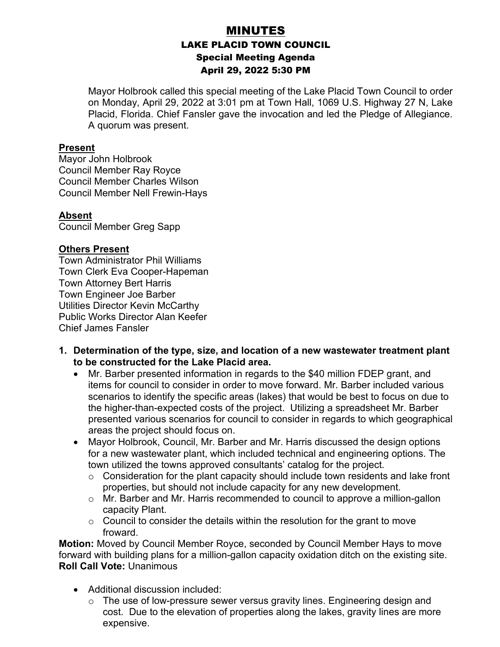## MINUTES LAKE PLACID TOWN COUNCIL Special Meeting Agenda April 29, 2022 5:30 PM

Mayor Holbrook called this special meeting of the Lake Placid Town Council to order on Monday, April 29, 2022 at 3:01 pm at Town Hall, 1069 U.S. Highway 27 N, Lake Placid, Florida. Chief Fansler gave the invocation and led the Pledge of Allegiance. A quorum was present.

#### **Present**

Mayor John Holbrook Council Member Ray Royce Council Member Charles Wilson Council Member Nell Frewin-Hays

#### **Absent**

Council Member Greg Sapp

#### **Others Present**

Town Administrator Phil Williams Town Clerk Eva Cooper-Hapeman Town Attorney Bert Harris Town Engineer Joe Barber Utilities Director Kevin McCarthy Public Works Director Alan Keefer Chief James Fansler

- **1. Determination of the type, size, and location of a new wastewater treatment plant to be constructed for the Lake Placid area.**
	- Mr. Barber presented information in regards to the \$40 million FDEP grant, and items for council to consider in order to move forward. Mr. Barber included various scenarios to identify the specific areas (lakes) that would be best to focus on due to the higher-than-expected costs of the project. Utilizing a spreadsheet Mr. Barber presented various scenarios for council to consider in regards to which geographical areas the project should focus on.
	- Mayor Holbrook, Council, Mr. Barber and Mr. Harris discussed the design options for a new wastewater plant, which included technical and engineering options. The town utilized the towns approved consultants' catalog for the project.
		- $\circ$  Consideration for the plant capacity should include town residents and lake front properties, but should not include capacity for any new development.
		- o Mr. Barber and Mr. Harris recommended to council to approve a million-gallon capacity Plant.
		- $\circ$  Council to consider the details within the resolution for the grant to move froward.

**Motion:** Moved by Council Member Royce, seconded by Council Member Hays to move forward with building plans for a million-gallon capacity oxidation ditch on the existing site. **Roll Call Vote:** Unanimous

- Additional discussion included:
	- $\circ$  The use of low-pressure sewer versus gravity lines. Engineering design and cost. Due to the elevation of properties along the lakes, gravity lines are more expensive.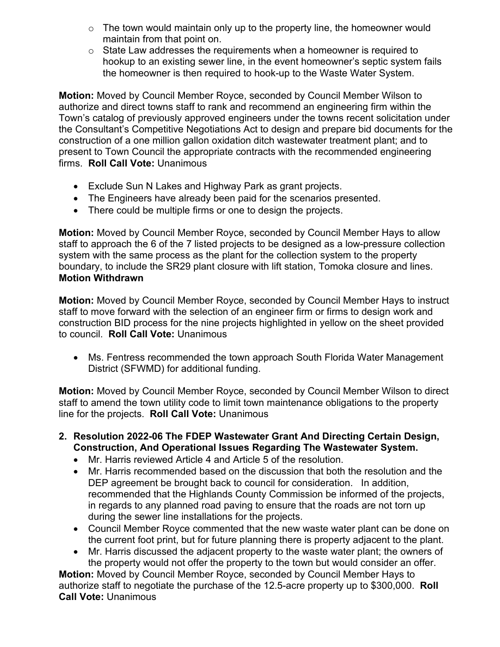- $\circ$  The town would maintain only up to the property line, the homeowner would maintain from that point on.
- $\circ$  State Law addresses the requirements when a homeowner is required to hookup to an existing sewer line, in the event homeowner's septic system fails the homeowner is then required to hook-up to the Waste Water System.

**Motion:** Moved by Council Member Royce, seconded by Council Member Wilson to authorize and direct towns staff to rank and recommend an engineering firm within the Town's catalog of previously approved engineers under the towns recent solicitation under the Consultant's Competitive Negotiations Act to design and prepare bid documents for the construction of a one million gallon oxidation ditch wastewater treatment plant; and to present to Town Council the appropriate contracts with the recommended engineering firms. **Roll Call Vote:** Unanimous

- Exclude Sun N Lakes and Highway Park as grant projects.
- The Engineers have already been paid for the scenarios presented.
- There could be multiple firms or one to design the projects.

**Motion:** Moved by Council Member Royce, seconded by Council Member Hays to allow staff to approach the 6 of the 7 listed projects to be designed as a low-pressure collection system with the same process as the plant for the collection system to the property boundary, to include the SR29 plant closure with lift station, Tomoka closure and lines. **Motion Withdrawn**

**Motion:** Moved by Council Member Royce, seconded by Council Member Hays to instruct staff to move forward with the selection of an engineer firm or firms to design work and construction BID process for the nine projects highlighted in yellow on the sheet provided to council. **Roll Call Vote:** Unanimous

• Ms. Fentress recommended the town approach South Florida Water Management District (SFWMD) for additional funding.

**Motion:** Moved by Council Member Royce, seconded by Council Member Wilson to direct staff to amend the town utility code to limit town maintenance obligations to the property line for the projects. **Roll Call Vote:** Unanimous

- **2. Resolution 2022-06 The FDEP Wastewater Grant And Directing Certain Design, Construction, And Operational Issues Regarding The Wastewater System.**
	- Mr. Harris reviewed Article 4 and Article 5 of the resolution.
	- Mr. Harris recommended based on the discussion that both the resolution and the DEP agreement be brought back to council for consideration. In addition, recommended that the Highlands County Commission be informed of the projects, in regards to any planned road paving to ensure that the roads are not torn up during the sewer line installations for the projects.
	- Council Member Royce commented that the new waste water plant can be done on the current foot print, but for future planning there is property adjacent to the plant.
	- Mr. Harris discussed the adjacent property to the waste water plant; the owners of the property would not offer the property to the town but would consider an offer.

**Motion:** Moved by Council Member Royce, seconded by Council Member Hays to authorize staff to negotiate the purchase of the 12.5-acre property up to \$300,000. **Roll Call Vote:** Unanimous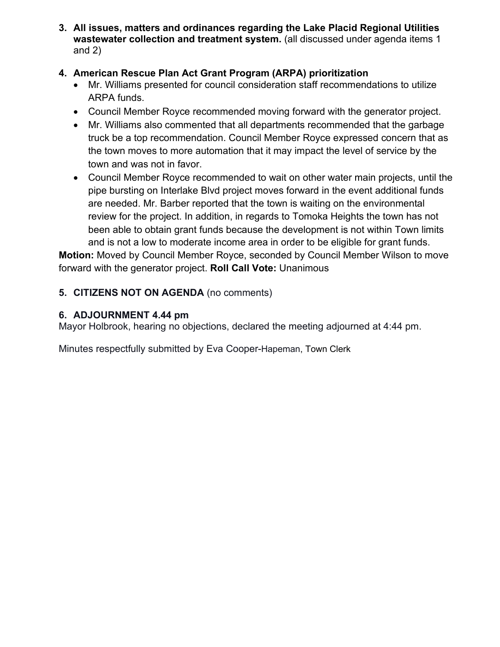**3. All issues, matters and ordinances regarding the Lake Placid Regional Utilities wastewater collection and treatment system.** (all discussed under agenda items 1 and 2)

### **4. American Rescue Plan Act Grant Program (ARPA) prioritization**

- Mr. Williams presented for council consideration staff recommendations to utilize ARPA funds.
- Council Member Royce recommended moving forward with the generator project.
- Mr. Williams also commented that all departments recommended that the garbage truck be a top recommendation. Council Member Royce expressed concern that as the town moves to more automation that it may impact the level of service by the town and was not in favor.
- Council Member Royce recommended to wait on other water main projects, until the pipe bursting on Interlake Blvd project moves forward in the event additional funds are needed. Mr. Barber reported that the town is waiting on the environmental review for the project. In addition, in regards to Tomoka Heights the town has not been able to obtain grant funds because the development is not within Town limits and is not a low to moderate income area in order to be eligible for grant funds.

**Motion:** Moved by Council Member Royce, seconded by Council Member Wilson to move forward with the generator project. **Roll Call Vote:** Unanimous

### **5. CITIZENS NOT ON AGENDA** (no comments)

#### **6. ADJOURNMENT 4.44 pm**

Mayor Holbrook, hearing no objections, declared the meeting adjourned at 4:44 pm.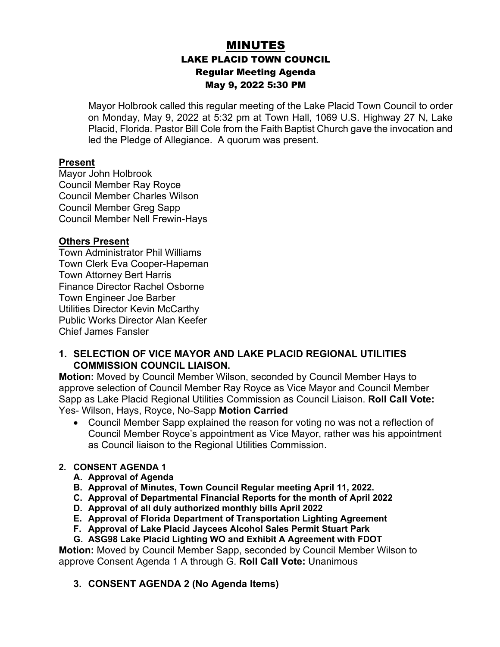# MINUTES LAKE PLACID TOWN COUNCIL Regular Meeting Agenda May 9, 2022 5:30 PM

Mayor Holbrook called this regular meeting of the Lake Placid Town Council to order on Monday, May 9, 2022 at 5:32 pm at Town Hall, 1069 U.S. Highway 27 N, Lake Placid, Florida. Pastor Bill Cole from the Faith Baptist Church gave the invocation and led the Pledge of Allegiance. A quorum was present.

#### **Present**

Mayor John Holbrook Council Member Ray Royce Council Member Charles Wilson Council Member Greg Sapp Council Member Nell Frewin-Hays

#### **Others Present**

Town Administrator Phil Williams Town Clerk Eva Cooper-Hapeman Town Attorney Bert Harris Finance Director Rachel Osborne Town Engineer Joe Barber Utilities Director Kevin McCarthy Public Works Director Alan Keefer Chief James Fansler

#### **1. SELECTION OF VICE MAYOR AND LAKE PLACID REGIONAL UTILITIES COMMISSION COUNCIL LIAISON.**

**Motion:** Moved by Council Member Wilson, seconded by Council Member Hays to approve selection of Council Member Ray Royce as Vice Mayor and Council Member Sapp as Lake Placid Regional Utilities Commission as Council Liaison. **Roll Call Vote:**  Yes- Wilson, Hays, Royce, No-Sapp **Motion Carried**

• Council Member Sapp explained the reason for voting no was not a reflection of Council Member Royce's appointment as Vice Mayor, rather was his appointment as Council liaison to the Regional Utilities Commission.

#### **2. CONSENT AGENDA 1**

- **A. Approval of Agenda**
- **B. Approval of Minutes, Town Council Regular meeting April 11, 2022.**
- **C. Approval of Departmental Financial Reports for the month of April 2022**
- **D. Approval of all duly authorized monthly bills April 2022**
- **E. Approval of Florida Department of Transportation Lighting Agreement**
- **F. Approval of Lake Placid Jaycees Alcohol Sales Permit Stuart Park**
- **G. ASG98 Lake Placid Lighting WO and Exhibit A Agreement with FDOT**

**Motion:** Moved by Council Member Sapp, seconded by Council Member Wilson to approve Consent Agenda 1 A through G. **Roll Call Vote:** Unanimous

**3. CONSENT AGENDA 2 (No Agenda Items)**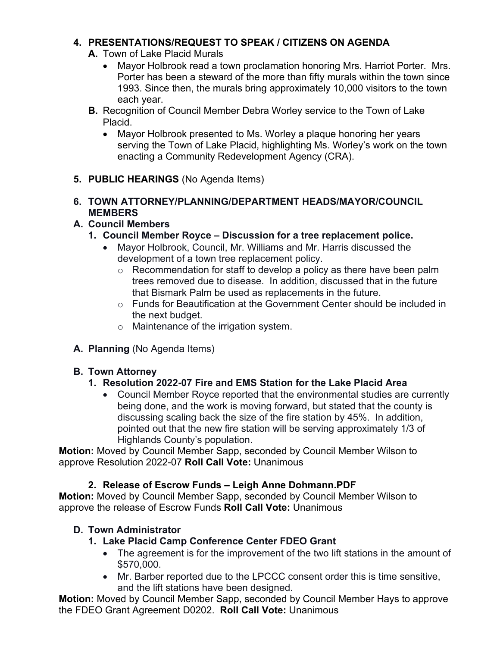### **4. PRESENTATIONS/REQUEST TO SPEAK / CITIZENS ON AGENDA**

- **A.** Town of Lake Placid Murals
	- Mayor Holbrook read a town proclamation honoring Mrs. Harriot Porter. Mrs. Porter has been a steward of the more than fifty murals within the town since 1993. Since then, the murals bring approximately 10,000 visitors to the town each year.
- **B.** Recognition of Council Member Debra Worley service to the Town of Lake Placid.
	- Mayor Holbrook presented to Ms. Worley a plaque honoring her years serving the Town of Lake Placid, highlighting Ms. Worley's work on the town enacting a Community Redevelopment Agency (CRA).
- **5. PUBLIC HEARINGS** (No Agenda Items)

#### **6. TOWN ATTORNEY/PLANNING/DEPARTMENT HEADS/MAYOR/COUNCIL MEMBERS**

## **A. Council Members**

- **1. Council Member Royce – Discussion for a tree replacement police.**
	- Mayor Holbrook, Council, Mr. Williams and Mr. Harris discussed the development of a town tree replacement policy.
		- o Recommendation for staff to develop a policy as there have been palm trees removed due to disease. In addition, discussed that in the future that Bismark Palm be used as replacements in the future.
		- o Funds for Beautification at the Government Center should be included in the next budget.
		- o Maintenance of the irrigation system.
- **A. Planning** (No Agenda Items)

## **B. Town Attorney**

## **1. Resolution 2022-07 Fire and EMS Station for the Lake Placid Area**

• Council Member Royce reported that the environmental studies are currently being done, and the work is moving forward, but stated that the county is discussing scaling back the size of the fire station by 45%. In addition, pointed out that the new fire station will be serving approximately 1/3 of Highlands County's population.

**Motion:** Moved by Council Member Sapp, seconded by Council Member Wilson to approve Resolution 2022-07 **Roll Call Vote:** Unanimous

## **2. Release of Escrow Funds – Leigh Anne Dohmann.PDF**

**Motion:** Moved by Council Member Sapp, seconded by Council Member Wilson to approve the release of Escrow Funds **Roll Call Vote:** Unanimous

## **D. Town Administrator**

### **1. Lake Placid Camp Conference Center FDEO Grant**

- The agreement is for the improvement of the two lift stations in the amount of \$570,000.
- Mr. Barber reported due to the LPCCC consent order this is time sensitive, and the lift stations have been designed.

**Motion:** Moved by Council Member Sapp, seconded by Council Member Hays to approve the FDEO Grant Agreement D0202. **Roll Call Vote:** Unanimous